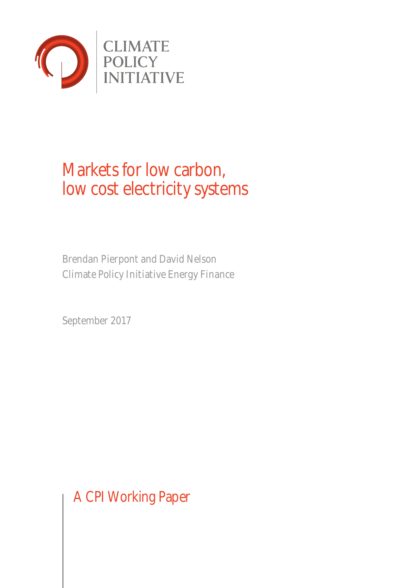

# Markets for low carbon, low cost electricity systems

Brendan Pierpont and David Nelson Climate Policy Initiative Energy Finance

September 2017

A CPI Working Paper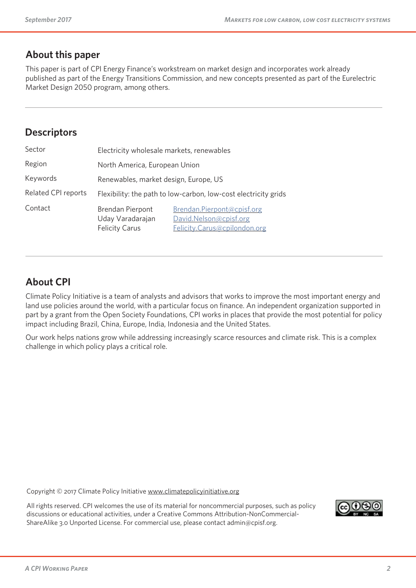### **About this paper**

This paper is part of CPI Energy Finance's workstream on market design and incorporates work already published as part of the Energy Transitions Commission, and new concepts presented as part of the Eurelectric Market Design 2050 program, among others.

### **Descriptors**

| Sector                     | Electricity wholesale markets, renewables                       |                                                                                      |  |
|----------------------------|-----------------------------------------------------------------|--------------------------------------------------------------------------------------|--|
| Region                     | North America, European Union                                   |                                                                                      |  |
| Keywords                   | Renewables, market design, Europe, US                           |                                                                                      |  |
| <b>Related CPI reports</b> | Flexibility: the path to low-carbon, low-cost electricity grids |                                                                                      |  |
| Contact                    | Brendan Pierpont<br>Uday Varadarajan<br><b>Felicity Carus</b>   | Brendan.Pierpont@cpisf.org<br>David.Nelson@cpisf.org<br>Felicity.Carus@cpilondon.org |  |

### **About CPI**

Climate Policy Initiative is a team of analysts and advisors that works to improve the most important energy and land use policies around the world, with a particular focus on finance. An independent organization supported in part by a grant from the Open Society Foundations, CPI works in places that provide the most potential for policy impact including Brazil, China, Europe, India, Indonesia and the United States.

Our work helps nations grow while addressing increasingly scarce resources and climate risk. This is a complex challenge in which policy plays a critical role.

Copyright © 2017 Climate Policy Initiative www.climatepolicyinitiative.org

All rights reserved. CPI welcomes the use of its material for noncommercial purposes, such as policy discussions or educational activities, under a Creative Commons Attribution-NonCommercial-ShareAlike 3.0 Unported License. For commercial use, please contact admin@cpisf.org.

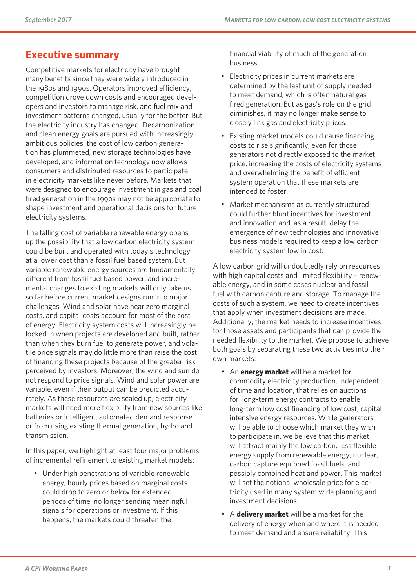### **Executive summary**

Competitive markets for electricity have brought many benefits since they were widely introduced in the 1980s and 1990s. Operators improved efficiency, competition drove down costs and encouraged developers and investors to manage risk, and fuel mix and investment patterns changed, usually for the better. But the electricity industry has changed. Decarbonization and clean energy goals are pursued with increasingly ambitious policies, the cost of low carbon generation has plummeted, new storage technologies have developed, and information technology now allows consumers and distributed resources to participate in electricity markets like never before. Markets that were designed to encourage investment in gas and coal fired generation in the 1990s may not be appropriate to shape investment and operational decisions for future electricity systems.

The falling cost of variable renewable energy opens up the possibility that a low carbon electricity system could be built and operated with today's technology at a lower cost than a fossil fuel based system. But variable renewable energy sources are fundamentally different from fossil fuel based power, and incremental changes to existing markets will only take us so far before current market designs run into major challenges. Wind and solar have near zero marginal costs, and capital costs account for most of the cost of energy. Electricity system costs will increasingly be locked in when projects are developed and built, rather than when they burn fuel to generate power, and volatile price signals may do little more than raise the cost of financing these projects because of the greater risk perceived by investors. Moreover, the wind and sun do not respond to price signals. Wind and solar power are variable, even if their output can be predicted accurately. As these resources are scaled up, electricity markets will need more flexibility from new sources like batteries or intelligent, automated demand response, or from using existing thermal generation, hydro and transmission.

In this paper, we highlight at least four major problems of incremental refinement to existing market models:

• Under high penetrations of variable renewable energy, hourly prices based on marginal costs could drop to zero or below for extended periods of time, no longer sending meaningful signals for operations or investment. If this happens, the markets could threaten the

financial viability of much of the generation business.

- Electricity prices in current markets are determined by the last unit of supply needed to meet demand, which is often natural gas fired generation. But as gas's role on the grid diminishes, it may no longer make sense to closely link gas and electricity prices.
- Existing market models could cause financing costs to rise significantly, even for those generators not directly exposed to the market price, increasing the costs of electricity systems and overwhelming the benefit of efficient system operation that these markets are intended to foster.
- Market mechanisms as currently structured could further blunt incentives for investment and innovation and, as a result, delay the emergence of new technologies and innovative business models required to keep a low carbon electricity system low in cost.

A low carbon grid will undoubtedly rely on resources with high capital costs and limited flexibility – renewable energy, and in some cases nuclear and fossil fuel with carbon capture and storage. To manage the costs of such a system, we need to create incentives that apply when investment decisions are made. Additionally, the market needs to increase incentives for those assets and participants that can provide the needed flexibility to the market. We propose to achieve both goals by separating these two activities into their own markets:

- An **energy market** will be a market for commodity electricity production, independent of time and location, that relies on auctions for long-term energy contracts to enable long-term low cost financing of low cost, capital intensive energy resources. While generators will be able to choose which market they wish to participate in, we believe that this market will attract mainly the low carbon, less flexible energy supply from renewable energy, nuclear, carbon capture equipped fossil fuels, and possibly combined heat and power. This market will set the notional wholesale price for electricity used in many system wide planning and investment decisions.
- A **delivery market** will be a market for the delivery of energy when and where it is needed to meet demand and ensure reliability. This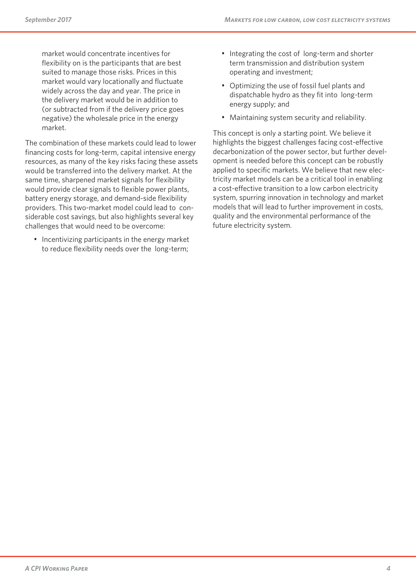market would concentrate incentives for flexibility on is the participants that are best suited to manage those risks. Prices in this market would vary locationally and fluctuate widely across the day and year. The price in the delivery market would be in addition to (or subtracted from if the delivery price goes negative) the wholesale price in the energy market.

The combination of these markets could lead to lower financing costs for long-term, capital intensive energy resources, as many of the key risks facing these assets would be transferred into the delivery market. At the same time, sharpened market signals for flexibility would provide clear signals to flexible power plants, battery energy storage, and demand-side flexibility providers. This two-market model could lead to considerable cost savings, but also highlights several key challenges that would need to be overcome:

• Incentivizing participants in the energy market to reduce flexibility needs over the long-term;

- Integrating the cost of long-term and shorter term transmission and distribution system operating and investment;
- Optimizing the use of fossil fuel plants and dispatchable hydro as they fit into long-term energy supply; and
- Maintaining system security and reliability.

This concept is only a starting point. We believe it highlights the biggest challenges facing cost-effective decarbonization of the power sector, but further development is needed before this concept can be robustly applied to specific markets. We believe that new electricity market models can be a critical tool in enabling a cost-effective transition to a low carbon electricity system, spurring innovation in technology and market models that will lead to further improvement in costs, quality and the environmental performance of the future electricity system.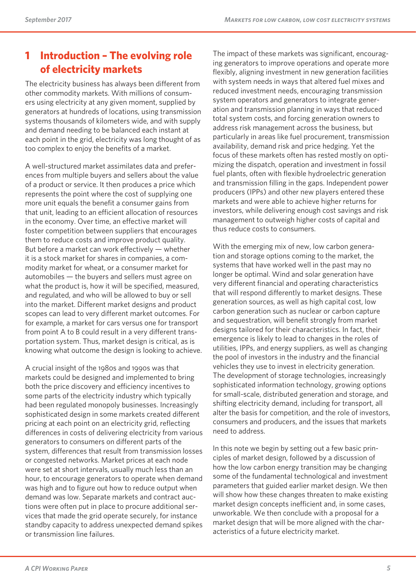### **1 Introduction – The evolving role of electricity markets**

The electricity business has always been different from other commodity markets. With millions of consumers using electricity at any given moment, supplied by generators at hundreds of locations, using transmission systems thousands of kilometers wide, and with supply and demand needing to be balanced each instant at each point in the grid, electricity was long thought of as too complex to enjoy the benefits of a market.

A well-structured market assimilates data and preferences from multiple buyers and sellers about the value of a product or service. It then produces a price which represents the point where the cost of supplying one more unit equals the benefit a consumer gains from that unit, leading to an efficient allocation of resources in the economy. Over time, an effective market will foster competition between suppliers that encourages them to reduce costs and improve product quality. But before a market can work effectively — whether it is a stock market for shares in companies, a commodity market for wheat, or a consumer market for automobiles — the buyers and sellers must agree on what the product is, how it will be specified, measured, and regulated, and who will be allowed to buy or sell into the market. Different market designs and product scopes can lead to very different market outcomes. For for example, a market for cars versus one for transport from point A to B could result in a very different transportation system. Thus, market design is critical, as is knowing what outcome the design is looking to achieve.

A crucial insight of the 1980s and 1990s was that markets could be designed and implemented to bring both the price discovery and efficiency incentives to some parts of the electricity industry which typically had been regulated monopoly businesses. Increasingly sophisticated design in some markets created different pricing at each point on an electricity grid, reflecting differences in costs of delivering electricity from various generators to consumers on different parts of the system, differences that result from transmission losses or congested networks. Market prices at each node were set at short intervals, usually much less than an hour, to encourage generators to operate when demand was high and to figure out how to reduce output when demand was low. Separate markets and contract auctions were often put in place to procure additional services that made the grid operate securely, for instance standby capacity to address unexpected demand spikes or transmission line failures.

The impact of these markets was significant, encouraging generators to improve operations and operate more flexibly, aligning investment in new generation facilities with system needs in ways that altered fuel mixes and reduced investment needs, encouraging transmission system operators and generators to integrate generation and transmission planning in ways that reduced total system costs, and forcing generation owners to address risk management across the business, but particularly in areas like fuel procurement, transmission availability, demand risk and price hedging. Yet the focus of these markets often has rested mostly on optimizing the dispatch, operation and investment in fossil fuel plants, often with flexible hydroelectric generation and transmission filling in the gaps. Independent power producers (IPPs) and other new players entered these markets and were able to achieve higher returns for investors, while delivering enough cost savings and risk management to outweigh higher costs of capital and thus reduce costs to consumers.

With the emerging mix of new, low carbon generation and storage options coming to the market, the systems that have worked well in the past may no longer be optimal. Wind and solar generation have very different financial and operating characteristics that will respond differently to market designs. These generation sources, as well as high capital cost, low carbon generation such as nuclear or carbon capture and sequestration, will benefit strongly from market designs tailored for their characteristics. In fact, their emergence is likely to lead to changes in the roles of utilities, IPPs, and energy suppliers, as well as changing the pool of investors in the industry and the financial vehicles they use to invest in electricity generation. The development of storage technologies, increasingly sophisticated information technology, growing options for small-scale, distributed generation and storage, and shifting electricity demand, including for transport, all alter the basis for competition, and the role of investors, consumers and producers, and the issues that markets need to address.

In this note we begin by setting out a few basic principles of market design, followed by a discussion of how the low carbon energy transition may be changing some of the fundamental technological and investment parameters that guided earlier market design. We then will show how these changes threaten to make existing market design concepts inefficient and, in some cases, unworkable. We then conclude with a proposal for a market design that will be more aligned with the characteristics of a future electricity market.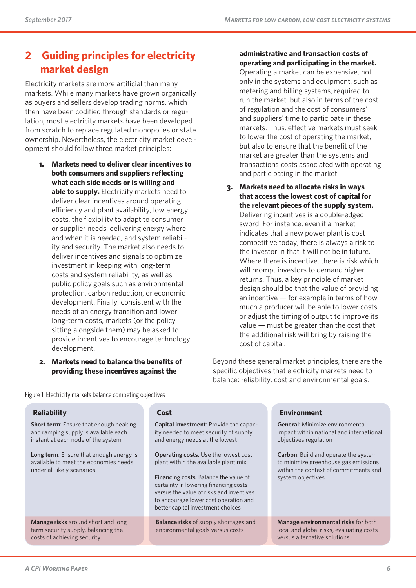## **2 Guiding principles for electricity market design**

Electricity markets are more artificial than many markets. While many markets have grown organically as buyers and sellers develop trading norms, which then have been codified through standards or regulation, most electricity markets have been developed from scratch to replace regulated monopolies or state ownership. Nevertheless, the electricity market development should follow three market principles:

- **1. Markets need to deliver clear incentives to both consumers and suppliers reflecting what each side needs or is willing and able to supply.** Electricity markets need to deliver clear incentives around operating efficiency and plant availability, low energy costs, the flexibility to adapt to consumer or supplier needs, delivering energy where and when it is needed, and system reliability and security. The market also needs to deliver incentives and signals to optimize investment in keeping with long-term costs and system reliability, as well as public policy goals such as environmental protection, carbon reduction, or economic development. Finally, consistent with the needs of an energy transition and lower long-term costs, markets (or the policy sitting alongside them) may be asked to provide incentives to encourage technology development.
- **2. Markets need to balance the benefits of providing these incentives against the**

#### **administrative and transaction costs of operating and participating in the market.**

Operating a market can be expensive, not only in the systems and equipment, such as metering and billing systems, required to run the market, but also in terms of the cost of regulation and the cost of consumers' and suppliers' time to participate in these markets. Thus, effective markets must seek to lower the cost of operating the market, but also to ensure that the benefit of the market are greater than the systems and transactions costs associated with operating and participating in the market.

**3. Markets need to allocate risks in ways that access the lowest cost of capital for the relevant pieces of the supply system.**  Delivering incentives is a double-edged sword. For instance, even if a market indicates that a new power plant is cost competitive today, there is always a risk to the investor in that it will not be in future. Where there is incentive, there is risk which will prompt investors to demand higher returns. Thus, a key principle of market design should be that the value of providing an incentive — for example in terms of how much a producer will be able to lower costs or adjust the timing of output to improve its value — must be greater than the cost that the additional risk will bring by raising the cost of capital.

Beyond these general market principles, there are the specific objectives that electricity markets need to balance: reliability, cost and environmental goals.

Figure 1: Electricity markets balance competing objectives

#### **Reliability**

**Short term**: Ensure that enough peaking and ramping supply is available each instant at each node of the system

**Long term**: Ensure that enough energy is available to meet the economies needs under all likely scenarios

**Manage risks** around short and long term security supply, balancing the costs of achieving security

#### **Cost**

**Capital investment**: Provide the capacity needed to meet security of supply and energy needs at the lowest

**Operating costs**: Use the lowest cost plant within the available plant mix

**Financing costs**: Balance the value of certainty in lowering financing costs versus the value of risks and inventives to encourage lower cost operation and better capital investment choices

**Balance risks** of supply shortages and enbironmental goals versus costs

#### **Environment**

**General**: Minimize environmental impact within national and international objectives regulation

**Carbon**: Build and operate the system to minimize greenhouse gas emissions within the context of commitments and system objectives

**Manage environmental risks** for both local and global risks, evaluating costs versus alternative solutions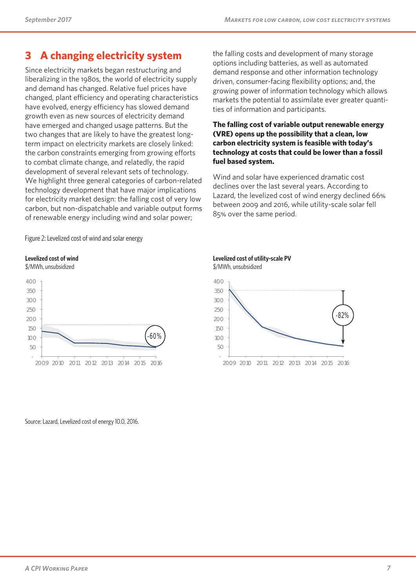### **3 A changing electricity system**

Since electricity markets began restructuring and liberalizing in the 1980s, the world of electricity supply and demand has changed. Relative fuel prices have changed, plant efficiency and operating characteristics have evolved, energy efficiency has slowed demand growth even as new sources of electricity demand have emerged and changed usage patterns. But the two changes that are likely to have the greatest longterm impact on electricity markets are closely linked: the carbon constraints emerging from growing efforts to combat climate change, and relatedly, the rapid development of several relevant sets of technology. We highlight three general categories of carbon-related technology development that have major implications for electricity market design: the falling cost of very low carbon, but non-dispatchable and variable output forms of renewable energy including wind and solar power;

the falling costs and development of many storage options including batteries, as well as automated demand response and other information technology driven, consumer-facing flexibility options; and, the growing power of information technology which allows markets the potential to assimilate ever greater quantities of information and participants.

#### **The falling cost of variable output renewable energy (VRE) opens up the possibility that a clean, low carbon electricity system is feasible with today's technology at costs that could be lower than a fossil fuel based system.**

Wind and solar have experienced dramatic cost declines over the last several years. According to Lazard, the levelized cost of wind energy declined 66% between 2009 and 2016, while utility-scale solar fell 85% over the same period.

Figure 2: Levelized cost of wind and solar energy

#### **Levelized cost of wind**

-  $50$ 100



2009 2010 2011 2012 2013 2014 2015 2016

-60%

#### **Levelized cost of utility-scale PV**

\$/MWh, unsubsidized



Source: Lazard, Levelized cost of energy 10.0, 2016.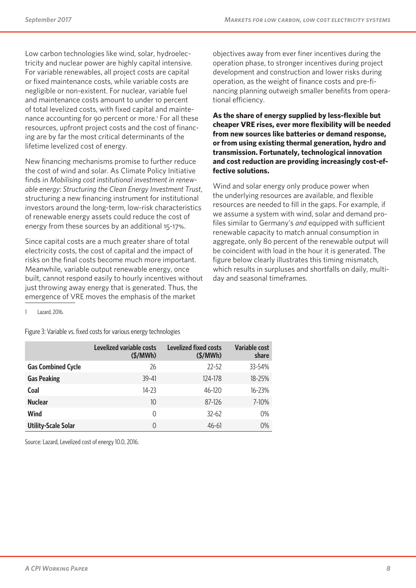Low carbon technologies like wind, solar, hydroelectricity and nuclear power are highly capital intensive. For variable renewables, all project costs are capital or fixed maintenance costs, while variable costs are negligible or non-existent. For nuclear, variable fuel and maintenance costs amount to under 10 percent of total levelized costs, with fixed capital and maintenance accounting for 90 percent or more.<sup>1</sup> For all these resources, upfront project costs and the cost of financing are by far the most critical determinants of the lifetime levelized cost of energy.

New financing mechanisms promise to further reduce the cost of wind and solar. As Climate Policy Initiative finds in *Mobilising cost institutional investment in renewable energy: Structuring the Clean Energy Investment Trust*, structuring a new financing instrument for institutional investors around the long-term, low-risk characteristics of renewable energy assets could reduce the cost of energy from these sources by an additional 15-17%.

Since capital costs are a much greater share of total electricity costs, the cost of capital and the impact of risks on the final costs become much more important. Meanwhile, variable output renewable energy, once built, cannot respond easily to hourly incentives without just throwing away energy that is generated. Thus, the emergence of VRE moves the emphasis of the market

objectives away from ever finer incentives during the operation phase, to stronger incentives during project development and construction and lower risks during operation, as the weight of finance costs and pre-financing planning outweigh smaller benefits from operational efficiency.

**As the share of energy supplied by less-flexible but cheaper VRE rises, ever more flexibility will be needed from new sources like batteries or demand response, or from using existing thermal generation, hydro and transmission. Fortunately, technological innovation and cost reduction are providing increasingly cost-effective solutions.**

Wind and solar energy only produce power when the underlying resources are available, and flexible resources are needed to fill in the gaps. For example, if we assume a system with wind, solar and demand profiles similar to Germany's *and* equipped with sufficient renewable capacity to match annual consumption in aggregate, only 80 percent of the renewable output will be coincident with load in the hour it is generated. The figure below clearly illustrates this timing mismatch, which results in surpluses and shortfalls on daily, multiday and seasonal timeframes.

Lazard, 2016.

Figure 3: Variable vs. fixed costs for various energy technologies

|                            | Levelized variable costs<br>$(\frac{2}{3}) MWh)$ | <b>Levelized fixed costs</b><br>$(\frac{5}{MWh})$ | Variable cost<br>share |
|----------------------------|--------------------------------------------------|---------------------------------------------------|------------------------|
| <b>Gas Combined Cycle</b>  | 26                                               | $72 - 52$                                         | 33-54%                 |
| <b>Gas Peaking</b>         | 39-41                                            | 124-178                                           | $18 - 25%$             |
| Coal                       | $14 - 23$                                        | $46 - 120$                                        | $16 - 23%$             |
| <b>Nuclear</b>             | 10                                               | 87-126                                            | 7-10%                  |
| Wind                       | 0                                                | $32 - 62$                                         | 0%                     |
| <b>Utility-Scale Solar</b> | 0                                                | $46 - 61$                                         | 0%                     |

Source: Lazard, Levelized cost of energy 10.0, 2016.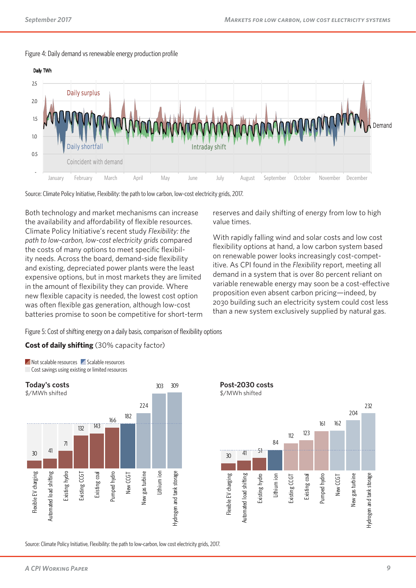



Source: Climate Policy Initiative, Flexibility: the path to low carbon, low-cost electricity grids, 2017.

Both technology and market mechanisms can increase the availability and affordability of flexible resources. Climate Policy Initiative's recent study *Flexibility: the path to low-carbon, low-cost electricity grids* compared the costs of many options to meet specific flexibility needs. Across the board, demand-side flexibility and existing, depreciated power plants were the least expensive options, but in most markets they are limited in the amount of flexibility they can provide. Where new flexible capacity is needed, the lowest cost option was often flexible gas generation, although low-cost batteries promise to soon be competitive for short-term

reserves and daily shifting of energy from low to high value times.

With rapidly falling wind and solar costs and low cost flexibility options at hand, a low carbon system based on renewable power looks increasingly cost-competitive. As CPI found in the *Flexibility* report, meeting all demand in a system that is over 80 percent reliant on variable renewable energy may soon be a cost-effective proposition even absent carbon pricing—indeed, by 2030 building such an electricity system could cost less than a new system exclusively supplied by natural gas.

Figure 5: Cost of shifting energy on a daily basis, comparison of flexibility options

#### **Cost of daily shifting** (30% capacity factor)



**Not scalable resources** Scalable resources Cost savings using existing or limited resources



Source: Climate Policy Initiative, Flexibility: the path to low-carbon, low cost electricity grids, 2017.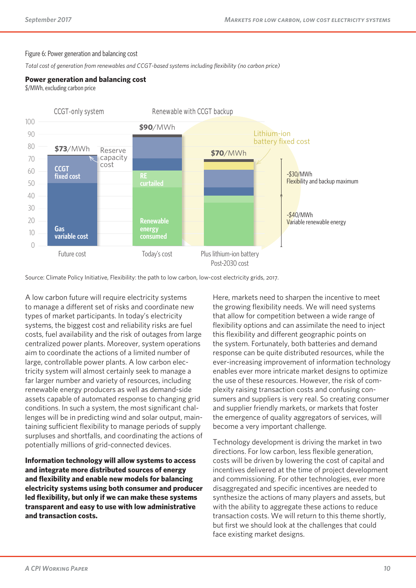#### Figure 6: Power generation and balancing cost

*Total cost of generation from renewables and CCGT-based systems including flexibility (no carbon price)*

#### **Power generation and balancing cost**

\$/MWh, excluding carbon price



Source: Climate Policy Initiative, Flexibility: the path to low carbon, low-cost electricity grids, 2017.

A low carbon future will require electricity systems to manage a different set of risks and coordinate new types of market participants. In today's electricity systems, the biggest cost and reliability risks are fuel costs, fuel availability and the risk of outages from large centralized power plants. Moreover, system operations aim to coordinate the actions of a limited number of large, controllable power plants. A low carbon electricity system will almost certainly seek to manage a far larger number and variety of resources, including renewable energy producers as well as demand-side assets capable of automated response to changing grid conditions. In such a system, the most significant challenges will be in predicting wind and solar output, maintaining sufficient flexibility to manage periods of supply surpluses and shortfalls, and coordinating the actions of potentially millions of grid-connected devices.

**Information technology will allow systems to access and integrate more distributed sources of energy and flexibility and enable new models for balancing electricity systems using both consumer and producer led flexibility, but only if we can make these systems transparent and easy to use with low administrative and transaction costs.**

Here, markets need to sharpen the incentive to meet the growing flexibility needs. We will need systems that allow for competition between a wide range of flexibility options and can assimilate the need to inject this flexibility and different geographic points on the system. Fortunately, both batteries and demand response can be quite distributed resources, while the ever-increasing improvement of information technology enables ever more intricate market designs to optimize the use of these resources. However, the risk of complexity raising transaction costs and confusing consumers and suppliers is very real. So creating consumer and supplier friendly markets, or markets that foster the emergence of quality aggregators of services, will become a very important challenge.

Technology development is driving the market in two directions. For low carbon, less flexible generation, costs will be driven by lowering the cost of capital and incentives delivered at the time of project development and commissioning. For other technologies, ever more disaggregated and specific incentives are needed to synthesize the actions of many players and assets, but with the ability to aggregate these actions to reduce transaction costs. We will return to this theme shortly, but first we should look at the challenges that could face existing market designs.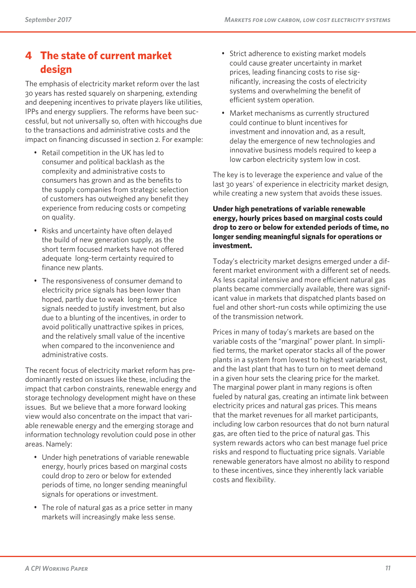## **4 The state of current market design**

The emphasis of electricity market reform over the last 30 years has rested squarely on sharpening, extending and deepening incentives to private players like utilities, IPPs and energy suppliers. The reforms have been successful, but not universally so, often with hiccoughs due to the transactions and administrative costs and the impact on financing discussed in section 2. For example:

- Retail competition in the UK has led to consumer and political backlash as the complexity and administrative costs to consumers has grown and as the benefits to the supply companies from strategic selection of customers has outweighed any benefit they experience from reducing costs or competing on quality.
- Risks and uncertainty have often delayed the build of new generation supply, as the short term focused markets have not offered adequate long-term certainty required to finance new plants.
- The responsiveness of consumer demand to electricity price signals has been lower than hoped, partly due to weak long-term price signals needed to justify investment, but also due to a blunting of the incentives, in order to avoid politically unattractive spikes in prices, and the relatively small value of the incentive when compared to the inconvenience and administrative costs.

The recent focus of electricity market reform has predominantly rested on issues like these, including the impact that carbon constraints, renewable energy and storage technology development might have on these issues. But we believe that a more forward looking view would also concentrate on the impact that variable renewable energy and the emerging storage and information technology revolution could pose in other areas. Namely:

- Under high penetrations of variable renewable energy, hourly prices based on marginal costs could drop to zero or below for extended periods of time, no longer sending meaningful signals for operations or investment.
- The role of natural gas as a price setter in many markets will increasingly make less sense.
- Strict adherence to existing market models could cause greater uncertainty in market prices, leading financing costs to rise significantly, increasing the costs of electricity systems and overwhelming the benefit of efficient system operation.
- Market mechanisms as currently structured could continue to blunt incentives for investment and innovation and, as a result, delay the emergence of new technologies and innovative business models required to keep a low carbon electricity system low in cost.

The key is to leverage the experience and value of the last 30 years' of experience in electricity market design, while creating a new system that avoids these issues.

#### **Under high penetrations of variable renewable energy, hourly prices based on marginal costs could drop to zero or below for extended periods of time, no longer sending meaningful signals for operations or investment.**

Today's electricity market designs emerged under a different market environment with a different set of needs. As less capital intensive and more efficient natural gas plants became commercially available, there was significant value in markets that dispatched plants based on fuel and other short-run costs while optimizing the use of the transmission network.

Prices in many of today's markets are based on the variable costs of the "marginal" power plant. In simplified terms, the market operator stacks all of the power plants in a system from lowest to highest variable cost, and the last plant that has to turn on to meet demand in a given hour sets the clearing price for the market. The marginal power plant in many regions is often fueled by natural gas, creating an intimate link between electricity prices and natural gas prices. This means that the market revenues for all market participants, including low carbon resources that do not burn natural gas, are often tied to the price of natural gas. This system rewards actors who can best manage fuel price risks and respond to fluctuating price signals. Variable renewable generators have almost no ability to respond to these incentives, since they inherently lack variable costs and flexibility.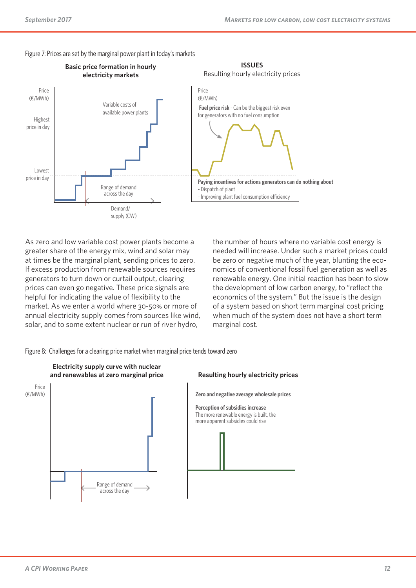



As zero and low variable cost power plants become a greater share of the energy mix, wind and solar may at times be the marginal plant, sending prices to zero. If excess production from renewable sources requires generators to turn down or curtail output, clearing prices can even go negative. These price signals are helpful for indicating the value of flexibility to the market. As we enter a world where 30-50% or more of annual electricity supply comes from sources like wind, solar, and to some extent nuclear or run of river hydro,

the number of hours where no variable cost energy is needed will increase. Under such a market prices could be zero or negative much of the year, blunting the economics of conventional fossil fuel generation as well as renewable energy. One initial reaction has been to slow the development of low carbon energy, to "reflect the economics of the system." But the issue is the design of a system based on short term marginal cost pricing when much of the system does not have a short term marginal cost.

Figure 8: Challenges for a clearing price market when marginal price tends toward zero



**Zero and negative average wholesale prices**

**Perception of subsidies increase** The more renewable energy is built, the more apparent subsidies could rise

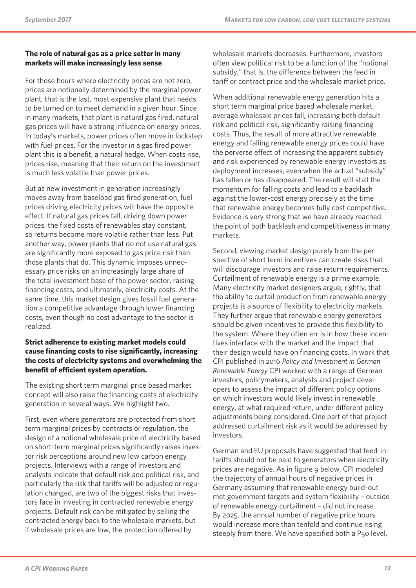#### **The role of natural gas as a price setter in many markets will make increasingly less sense**

For those hours where electricity prices are not zero, prices are notionally determined by the marginal power plant, that is the last, most expensive plant that needs to be turned on to meet demand in a given hour. Since in many markets, that plant is natural gas fired, natural gas prices will have a strong influence on energy prices. In today's markets, power prices often move in lockstep with fuel prices. For the investor in a gas fired power plant this is a benefit, a natural hedge. When costs rise, prices rise, meaning that their return on the investment is much less volatile than power prices.

But as new investment in generation increasingly moves away from baseload gas fired generation, fuel prices driving electricity prices will have the opposite effect. If natural gas prices fall, driving down power prices, the fixed costs of renewables stay constant, so returns become more volatile rather than less. Put another way, power plants that do not use natural gas are significantly more exposed to gas price risk than those plants that do. This dynamic imposes unnecessary price risks on an increasingly large share of the total investment base of the power sector, raising financing costs, and ultimately, electricity costs. At the same time, this market design gives fossil fuel generation a competitive advantage through lower financing costs, even though no cost advantage to the sector is realized.

#### **Strict adherence to existing market models could cause financing costs to rise significantly, increasing the costs of electricity systems and overwhelming the benefit of efficient system operation.**

The existing short term marginal price based market concept will also raise the financing costs of electricity generation in several ways. We highlight two.

First, even where generators are protected from short term marginal prices by contracts or regulation, the design of a notional wholesale price of electricity based on short-term marginal prices significantly raises investor risk perceptions around new low carbon energy projects. Interviews with a range of investors and analysts indicate that default risk and political risk, and particularly the risk that tariffs will be adjusted or regulation changed, are two of the biggest risks that investors face in investing in contracted renewable energy projects. Default risk can be mitigated by selling the contracted energy back to the wholesale markets, but if wholesale prices are low, the protection offered by

wholesale markets decreases. Furthermore, investors often view political risk to be a function of the "notional subsidy," that is, the difference between the feed in tariff or contract price and the wholesale market price.

When additional renewable energy generation hits a short term marginal price based wholesale market, average wholesale prices fall, increasing both default risk and political risk, significantly raising financing costs. Thus, the result of more attractive renewable energy and falling renewable energy prices could have the perverse effect of increasing the apparent subsidy and risk experienced by renewable energy investors as deployment increases, even when the actual "subsidy" has fallen or has disappeared. The result will stall the momentum for falling costs and lead to a backlash against the lower-cost energy precisely at the time that renewable energy becomes fully cost competitive. Evidence is very strong that we have already reached the point of both backlash and competitiveness in many markets.

Second, viewing market design purely from the perspective of short term incentives can create risks that will discourage investors and raise return requirements. Curtailment of renewable energy is a prime example. Many electricity market designers argue, rightly, that the ability to curtail production from renewable energy projects is a source of flexibility to electricity markets. They further argue that renewable energy generators should be given incentives to provide this flexibility to the system. Where they often err is in how these incentives interface with the market and the impact that their design would have on financing costs. In work that CPI published in 2016 *Policy and Investment in German Renewable Energy* CPI worked with a range of German investors, policymakers, analysts and project developers to assess the impact of different policy options on which investors would likely invest in renewable energy, at what required return, under different policy adjustments being considered. One part of that project addressed curtailment risk as it would be addressed by investors.

German and EU proposals have suggested that feed-intariffs should not be paid to generators when electricity prices are negative. As in figure 9 below, CPI modeled the trajectory of annual hours of negative prices in Germany assuming that renewable energy build-out met government targets and system flexibility – outside of renewable energy curtailment – did not increase. By 2025, the annual number of negative price hours would increase more than tenfold and continue rising steeply from there. We have specified both a P50 level,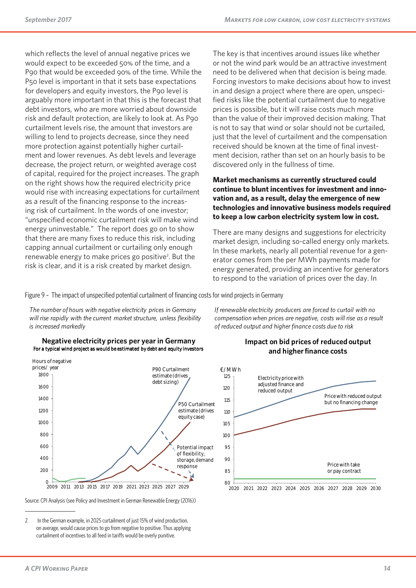which reflects the level of annual negative prices we would expect to be exceeded 50% of the time, and a P90 that would be exceeded 90% of the time. While the P50 level is important in that it sets base expectations for developers and equity investors, the P90 level is arguably more important in that this is the forecast that debt investors, who are more worried about downside risk and default protection, are likely to look at. As P90 curtailment levels rise, the amount that investors are willing to lend to projects decrease, since they need more protection against potentially higher curtailment and lower revenues. As debt levels and leverage decrease, the project return, or weighted average cost of capital, required for the project increases. The graph on the right shows how the required electricity price would rise with increasing expectations for curtailment as a result of the financing response to the increasing risk of curtailment. In the words of one investor; "unspecified economic curtailment risk will make wind energy uninvestable." The report does go on to show that there are many fixes to reduce this risk, including capping annual curtailment or curtailing only enough renewable energy to make prices go positive<sup>2</sup>. But the risk is clear, and it is a risk created by market design.

The key is that incentives around issues like whether or not the wind park would be an attractive investment need to be delivered when that decision is being made. Forcing investors to make decisions about how to invest in and design a project where there are open, unspecified risks like the potential curtailment due to negative prices is possible, but it will raise costs much more than the value of their improved decision making. That is not to say that wind or solar should not be curtailed, just that the level of curtailment and the compensation received should be known at the time of final investment decision, rather than set on an hourly basis to be discovered only in the fullness of time.

#### **Market mechanisms as currently structured could continue to blunt incentives for investment and innovation and, as a result, delay the emergence of new technologies and innovative business models required to keep a low carbon electricity system low in cost.**

There are many designs and suggestions for electricity market design, including so-called energy only markets. In these markets, nearly all potential revenue for a generator comes from the per MWh payments made for energy generated, providing an incentive for generators to respond to the variation of prices over the day. In

Figure 9 – The impact of unspecified potential curtailment of financing costs for wind projects in Germany

*The number of hours with negative electricity prices in Germany will rise rapidly with the current market structure, unless flexibility is increased markedly*





Source: CPI Analysis (see Policy and Investment in German Renewable Energy (2016))

2 In the German example, in 2025 curtailment of just 15% of wind production, on average, would cause prices to go from negative to positive. Thus applying curtailment of incentives to all feed in tariffs would be overly punitive.

#### **Impact on bid prices of reduced output and higher finance costs**

*If renewable electricity producers are forced to curtail with no compensation when prices are negative, costs will rise as a result* 

*of reduced output and higher finance costs due to risk*



2020 2021 2022 2023 2024 2025 2026 2027 2028 2029 2030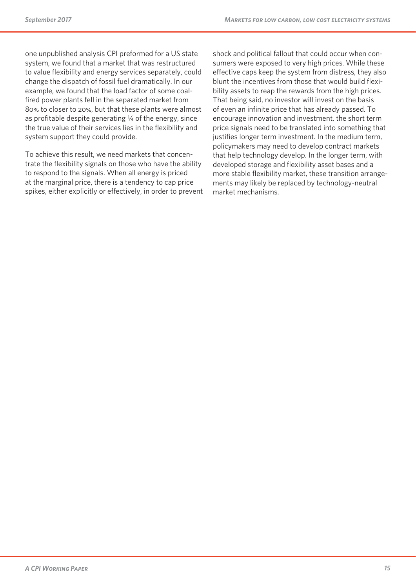one unpublished analysis CPI preformed for a US state system, we found that a market that was restructured to value flexibility and energy services separately, could change the dispatch of fossil fuel dramatically. In our example, we found that the load factor of some coalfired power plants fell in the separated market from 80% to closer to 20%, but that these plants were almost as profitable despite generating  $\frac{1}{4}$  of the energy, since the true value of their services lies in the flexibility and system support they could provide.

To achieve this result, we need markets that concentrate the flexibility signals on those who have the ability to respond to the signals. When all energy is priced at the marginal price, there is a tendency to cap price spikes, either explicitly or effectively, in order to prevent

shock and political fallout that could occur when consumers were exposed to very high prices. While these effective caps keep the system from distress, they also blunt the incentives from those that would build flexibility assets to reap the rewards from the high prices. That being said, no investor will invest on the basis of even an infinite price that has already passed. To encourage innovation and investment, the short term price signals need to be translated into something that justifies longer term investment. In the medium term, policymakers may need to develop contract markets that help technology develop. In the longer term, with developed storage and flexibility asset bases and a more stable flexibility market, these transition arrangements may likely be replaced by technology-neutral market mechanisms.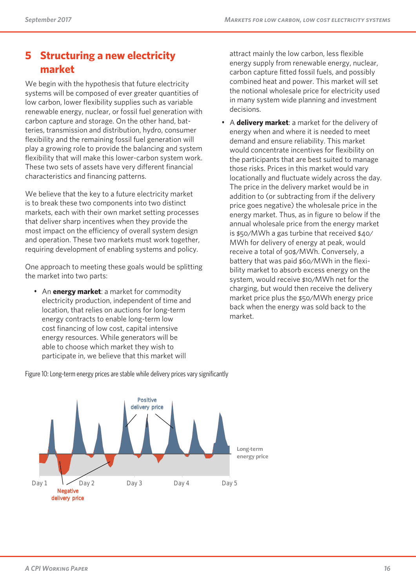### **5 Structuring a new electricity market**

We begin with the hypothesis that future electricity systems will be composed of ever greater quantities of low carbon, lower flexibility supplies such as variable renewable energy, nuclear, or fossil fuel generation with carbon capture and storage. On the other hand, batteries, transmission and distribution, hydro, consumer flexibility and the remaining fossil fuel generation will play a growing role to provide the balancing and system flexibility that will make this lower-carbon system work. These two sets of assets have very different financial characteristics and financing patterns.

We believe that the key to a future electricity market is to break these two components into two distinct markets, each with their own market setting processes that deliver sharp incentives when they provide the most impact on the efficiency of overall system design and operation. These two markets must work together, requiring development of enabling systems and policy.

One approach to meeting these goals would be splitting the market into two parts:

• An **energy market**: a market for commodity electricity production, independent of time and location, that relies on auctions for long-term energy contracts to enable long-term low cost financing of low cost, capital intensive energy resources. While generators will be able to choose which market they wish to participate in, we believe that this market will

attract mainly the low carbon, less flexible energy supply from renewable energy, nuclear, carbon capture fitted fossil fuels, and possibly combined heat and power. This market will set the notional wholesale price for electricity used in many system wide planning and investment decisions.

• A **delivery market**: a market for the delivery of energy when and where it is needed to meet demand and ensure reliability. This market would concentrate incentives for flexibility on the participants that are best suited to manage those risks. Prices in this market would vary locationally and fluctuate widely across the day. The price in the delivery market would be in addition to (or subtracting from if the delivery price goes negative) the wholesale price in the energy market. Thus, as in figure 10 below if the annual wholesale price from the energy market is \$50/MWh a gas turbine that received \$40/ MWh for delivery of energy at peak, would receive a total of 90\$/MWh. Conversely, a battery that was paid \$60/MWh in the flexibility market to absorb excess energy on the system, would receive \$10/MWh net for the charging, but would then receive the delivery market price plus the \$50/MWh energy price back when the energy was sold back to the market.



Figure 10: Long-term energy prices are stable while delivery prices vary significantly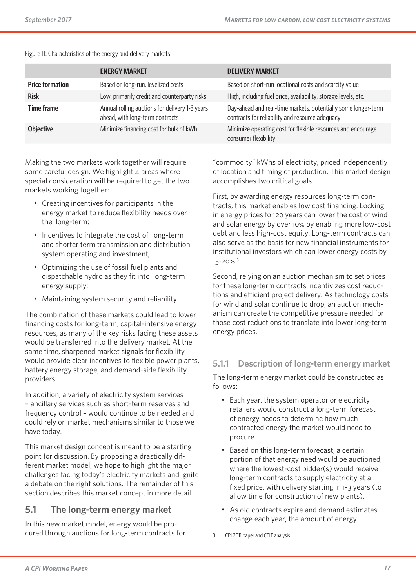|                        | <b>ENERGY MARKET</b>                                                              | <b>DELIVERY MARKET</b>                                                                                           |
|------------------------|-----------------------------------------------------------------------------------|------------------------------------------------------------------------------------------------------------------|
| <b>Price formation</b> | Based on long-run, levelized costs                                                | Based on short-run locational costs and scarcity value                                                           |
| <b>Risk</b>            | Low, primarily credit and counterparty risks                                      | High, including fuel price, availability, storage levels, etc.                                                   |
| <b>Time frame</b>      | Annual rolling auctions for delivery 1-3 years<br>ahead, with long-term contracts | Day-ahead and real-time markets, potentially some longer-term<br>contracts for reliability and resource adequacy |
| <b>Objective</b>       | Minimize financing cost for bulk of kWh                                           | Minimize operating cost for flexible resources and encourage<br>consumer flexibility                             |

Figure 11: Characteristics of the energy and delivery markets

Making the two markets work together will require some careful design. We highlight 4 areas where special consideration will be required to get the two markets working together:

- Creating incentives for participants in the energy market to reduce flexibility needs over the long-term;
- Incentives to integrate the cost of long-term and shorter term transmission and distribution system operating and investment;
- Optimizing the use of fossil fuel plants and dispatchable hydro as they fit into long-term energy supply;
- Maintaining system security and reliability.

The combination of these markets could lead to lower financing costs for long-term, capital-intensive energy resources, as many of the key risks facing these assets would be transferred into the delivery market. At the same time, sharpened market signals for flexibility would provide clear incentives to flexible power plants, battery energy storage, and demand-side flexibility providers.

In addition, a variety of electricity system services – ancillary services such as short-term reserves and frequency control – would continue to be needed and could rely on market mechanisms similar to those we have today.

This market design concept is meant to be a starting point for discussion. By proposing a drastically different market model, we hope to highlight the major challenges facing today's electricity markets and ignite a debate on the right solutions. The remainder of this section describes this market concept in more detail.

### **5.1 The long-term energy market**

In this new market model, energy would be procured through auctions for long-term contracts for

"commodity" kWhs of electricity, priced independently of location and timing of production. This market design accomplishes two critical goals.

First, by awarding energy resources long-term contracts, this market enables low cost financing. Locking in energy prices for 20 years can lower the cost of wind and solar energy by over 10% by enabling more low-cost debt and less high-cost equity. Long-term contracts can also serve as the basis for new financial instruments for institutional investors which can lower energy costs by 15-20%.3

Second, relying on an auction mechanism to set prices for these long-term contracts incentivizes cost reductions and efficient project delivery. As technology costs for wind and solar continue to drop, an auction mechanism can create the competitive pressure needed for those cost reductions to translate into lower long-term energy prices.

#### **5.1.1 Description of long-term energy market**

The long-term energy market could be constructed as follows:

- Each year, the system operator or electricity retailers would construct a long-term forecast of energy needs to determine how much contracted energy the market would need to procure.
- Based on this long-term forecast, a certain portion of that energy need would be auctioned, where the lowest-cost bidder(s) would receive long-term contracts to supply electricity at a fixed price, with delivery starting in 1-3 years (to allow time for construction of new plants).
- As old contracts expire and demand estimates change each year, the amount of energy
- 3 CPI 2011 paper and CEIT analysis.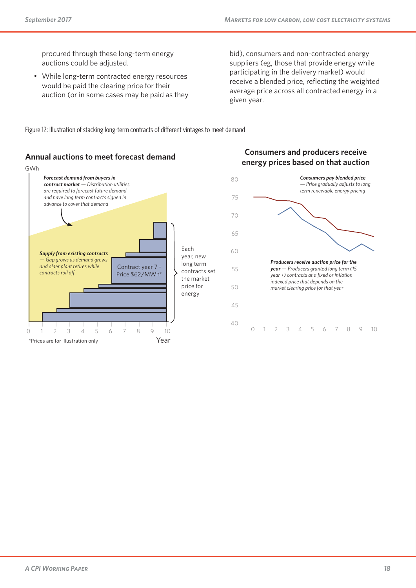procured through these long-term energy auctions could be adjusted.

• While long-term contracted energy resources would be paid the clearing price for their auction (or in some cases may be paid as they

bid), consumers and non-contracted energy suppliers (eg, those that provide energy while participating in the delivery market) would receive a blended price, reflecting the weighted average price across all contracted energy in a given year.

Figure 12: Illustration of stacking long-term contracts of different vintages to meet demand

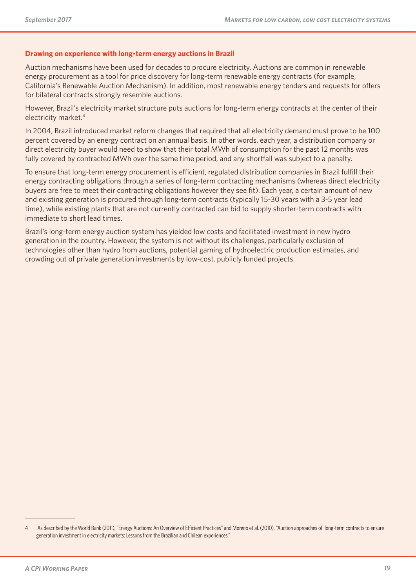#### **Drawing on experience with long-term energy auctions in Brazil**

Auction mechanisms have been used for decades to procure electricity. Auctions are common in renewable energy procurement as a tool for price discovery for long-term renewable energy contracts (for example, California's Renewable Auction Mechanism). In addition, most renewable energy tenders and requests for offers for bilateral contracts strongly resemble auctions.

However, Brazil's electricity market structure puts auctions for long-term energy contracts at the center of their electricity market.4

In 2004, Brazil introduced market reform changes that required that all electricity demand must prove to be 100 percent covered by an energy contract on an annual basis. In other words, each year, a distribution company or direct electricity buyer would need to show that their total MWh of consumption for the past 12 months was fully covered by contracted MWh over the same time period, and any shortfall was subject to a penalty.

To ensure that long-term energy procurement is efficient, regulated distribution companies in Brazil fulfill their energy contracting obligations through a series of long-term contracting mechanisms (whereas direct electricity buyers are free to meet their contracting obligations however they see fit). Each year, a certain amount of new and existing generation is procured through long-term contracts (typically 15-30 years with a 3-5 year lead time), while existing plants that are not currently contracted can bid to supply shorter-term contracts with immediate to short lead times.

Brazil's long-term energy auction system has yielded low costs and facilitated investment in new hydro generation in the country. However, the system is not without its challenges, particularly exclusion of technologies other than hydro from auctions, potential gaming of hydroelectric production estimates, and crowding out of private generation investments by low-cost, publicly funded projects.

<sup>4</sup> As described by the World Bank (2011), "Energy Auctions: An Overview of Efficient Practices" and Moreno et al. (2010), "Auction approaches of long-term contracts to ensure generation investment in electricity markets: Lessons from the Brazilian and Chilean experiences."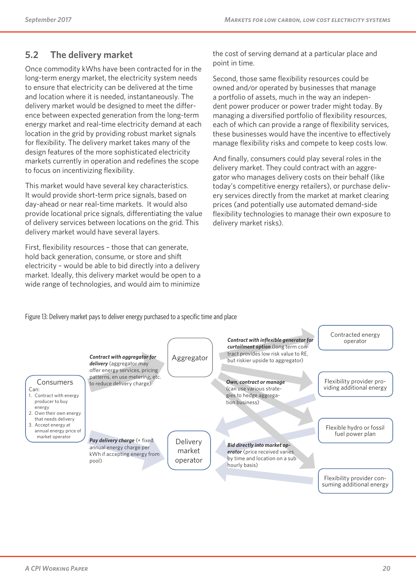### **5.2 The delivery market**

Once commodity kWhs have been contracted for in the long-term energy market, the electricity system needs to ensure that electricity can be delivered at the time and location where it is needed, instantaneously. The delivery market would be designed to meet the difference between expected generation from the long-term energy market and real-time electricity demand at each location in the grid by providing robust market signals for flexibility. The delivery market takes many of the design features of the more sophisticated electricity markets currently in operation and redefines the scope to focus on incentivizing flexibility.

This market would have several key characteristics. It would provide short-term price signals, based on day-ahead or near real-time markets. It would also provide locational price signals, differentiating the value of delivery services between locations on the grid. This delivery market would have several layers.

First, flexibility resources – those that can generate, hold back generation, consume, or store and shift electricity – would be able to bid directly into a delivery market. Ideally, this delivery market would be open to a wide range of technologies, and would aim to minimize

the cost of serving demand at a particular place and point in time.

Second, those same flexibility resources could be owned and/or operated by businesses that manage a portfolio of assets, much in the way an independent power producer or power trader might today. By managing a diversified portfolio of flexibility resources, each of which can provide a range of flexibility services, these businesses would have the incentive to effectively manage flexibility risks and compete to keep costs low.

And finally, consumers could play several roles in the delivery market. They could contract with an aggregator who manages delivery costs on their behalf (like today's competitive energy retailers), or purchase delivery services directly from the market at market clearing prices (and potentially use automated demand-side flexibility technologies to manage their own exposure to delivery market risks).

Figure 13: Delivery market pays to deliver energy purchased to a specific time and place

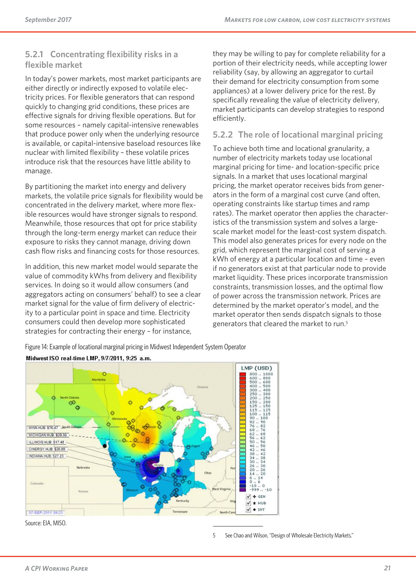#### **5.2.1 Concentrating flexibility risks in a flexible market**

In today's power markets, most market participants are either directly or indirectly exposed to volatile electricity prices. For flexible generators that can respond quickly to changing grid conditions, these prices are effective signals for driving flexible operations. But for some resources – namely capital-intensive renewables that produce power only when the underlying resource is available, or capital-intensive baseload resources like nuclear with limited flexibility – these volatile prices introduce risk that the resources have little ability to manage.

By partitioning the market into energy and delivery markets, the volatile price signals for flexibility would be concentrated in the delivery market, where more flexible resources would have stronger signals to respond. Meanwhile, those resources that opt for price stability through the long-term energy market can reduce their exposure to risks they cannot manage, driving down cash flow risks and financing costs for those resources.

In addition, this new market model would separate the value of commodity kWhs from delivery and flexibility services. In doing so it would allow consumers (and aggregators acting on consumers' behalf) to see a clear market signal for the value of firm delivery of electricity to a particular point in space and time. Electricity consumers could then develop more sophisticated strategies for contracting their energy – for instance,

they may be willing to pay for complete reliability for a portion of their electricity needs, while accepting lower reliability (say, by allowing an aggregator to curtail their demand for electricity consumption from some appliances) at a lower delivery price for the rest. By specifically revealing the value of electricity delivery, market participants can develop strategies to respond efficiently.

#### **5.2.2 The role of locational marginal pricing**

To achieve both time and locational granularity, a number of electricity markets today use locational marginal pricing for time- and location-specific price signals. In a market that uses locational marginal pricing, the market operator receives bids from generators in the form of a marginal cost curve (and often, operating constraints like startup times and ramp rates). The market operator then applies the characteristics of the transmission system and solves a largescale market model for the least-cost system dispatch. This model also generates prices for every node on the grid, which represent the marginal cost of serving a kWh of energy at a particular location and time – even if no generators exist at that particular node to provide market liquidity. These prices incorporate transmission constraints, transmission losses, and the optimal flow of power across the transmission network. Prices are determined by the market operator's model, and the market operator then sends dispatch signals to those generators that cleared the market to run.5

Figure 14: Example of locational marginal pricing in Midwest Independent System Operator



Midwest ISO real-time LMP, 9/7/2011, 9:25 a.m.

Source: EIA, MISO.

5 See Chao and Wilson, "Design of Wholesale Electricity Markets."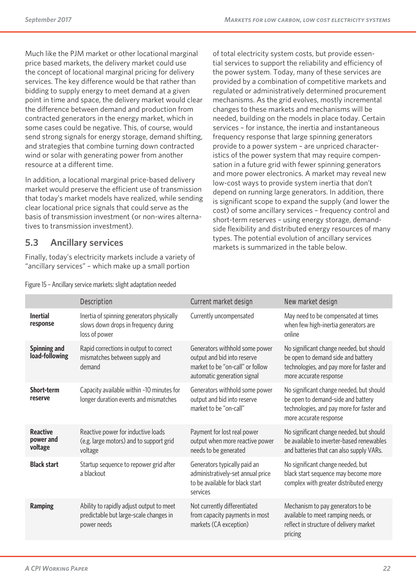Much like the PJM market or other locational marginal price based markets, the delivery market could use the concept of locational marginal pricing for delivery services. The key difference would be that rather than bidding to supply energy to meet demand at a given point in time and space, the delivery market would clear the difference between demand and production from contracted generators in the energy market, which in some cases could be negative. This, of course, would send strong signals for energy storage, demand shifting, and strategies that combine turning down contracted wind or solar with generating power from another resource at a different time.

In addition, a locational marginal price-based delivery market would preserve the efficient use of transmission that today's market models have realized, while sending clear locational price signals that could serve as the basis of transmission investment (or non-wires alternatives to transmission investment).

### **5.3 Ancillary services**

Finally, today's electricity markets include a variety of "ancillary services" – which make up a small portion

of total electricity system costs, but provide essential services to support the reliability and efficiency of the power system. Today, many of these services are provided by a combination of competitive markets and regulated or administratively determined procurement mechanisms. As the grid evolves, mostly incremental changes to these markets and mechanisms will be needed, building on the models in place today. Certain services – for instance, the inertia and instantaneous frequency response that large spinning generators provide to a power system – are unpriced characteristics of the power system that may require compensation in a future grid with fewer spinning generators and more power electronics. A market may reveal new low-cost ways to provide system inertia that don't depend on running large generators. In addition, there is significant scope to expand the supply (and lower the cost) of some ancillary services – frequency control and short-term reserves – using energy storage, demandside flexibility and distributed energy resources of many types. The potential evolution of ancillary services markets is summarized in the table below.

|                                         | <b>Description</b>                                                                                 | <b>Current market design</b>                                                                                                     | New market design                                                                                                                                     |
|-----------------------------------------|----------------------------------------------------------------------------------------------------|----------------------------------------------------------------------------------------------------------------------------------|-------------------------------------------------------------------------------------------------------------------------------------------------------|
| <b>Inertial</b><br>response             | Inertia of spinning generators physically<br>slows down drops in frequency during<br>loss of power | Currently uncompensated                                                                                                          | May need to be compensated at times<br>when few high-inertia generators are<br>online                                                                 |
| Spinning and<br>load-following          | Rapid corrections in output to correct<br>mismatches between supply and<br>demand                  | Generators withhold some power<br>output and bid into reserve<br>market to be "on-call" or follow<br>automatic generation signal | No significant change needed, but should<br>be open to demand side and battery<br>technologies, and pay more for faster and<br>more accurate response |
| Short-term<br>reserve                   | Capacity available within ~10 minutes for<br>longer duration events and mismatches                 | Generators withhold some power<br>output and bid into reserve<br>market to be "on-call"                                          | No significant change needed, but should<br>be open to demand-side and battery<br>technologies, and pay more for faster and<br>more accurate response |
| <b>Reactive</b><br>power and<br>voltage | Reactive power for inductive loads<br>(e.g. large motors) and to support grid<br>voltage           | Payment for lost real power<br>output when more reactive power<br>needs to be generated                                          | No significant change needed, but should<br>be available to inverter-based renewables<br>and batteries that can also supply VARs.                     |
| <b>Black start</b>                      | Startup sequence to repower grid after<br>a blackout                                               | Generators typically paid an<br>administratively-set annual price<br>to be available for black start<br>services                 | No significant change needed, but<br>black start sequence may become more<br>complex with greater distributed energy                                  |
| <b>Ramping</b>                          | Ability to rapidly adjust output to meet<br>predictable but large-scale changes in<br>power needs  | Not currently differentiated<br>from capacity payments in most<br>markets (CA exception)                                         | Mechanism to pay generators to be<br>available to meet ramping needs, or<br>reflect in structure of delivery market<br>pricing                        |

Figure 15 – Ancillary service markets: slight adaptation needed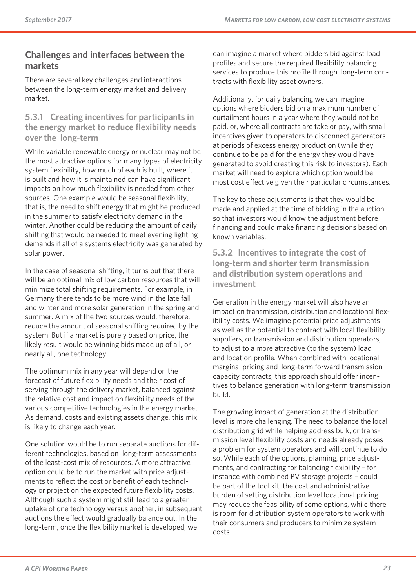### **Challenges and interfaces between the markets**

There are several key challenges and interactions between the long-term energy market and delivery market.

#### **5.3.1 Creating incentives for participants in the energy market to reduce flexibility needs over the long-term**

While variable renewable energy or nuclear may not be the most attractive options for many types of electricity system flexibility, how much of each is built, where it is built and how it is maintained can have significant impacts on how much flexibility is needed from other sources. One example would be seasonal flexibility, that is, the need to shift energy that might be produced in the summer to satisfy electricity demand in the winter. Another could be reducing the amount of daily shifting that would be needed to meet evening lighting demands if all of a systems electricity was generated by solar power.

In the case of seasonal shifting, it turns out that there will be an optimal mix of low carbon resources that will minimize total shifting requirements. For example, in Germany there tends to be more wind in the late fall and winter and more solar generation in the spring and summer. A mix of the two sources would, therefore, reduce the amount of seasonal shifting required by the system. But if a market is purely based on price, the likely result would be winning bids made up of all, or nearly all, one technology.

The optimum mix in any year will depend on the forecast of future flexibility needs and their cost of serving through the delivery market, balanced against the relative cost and impact on flexibility needs of the various competitive technologies in the energy market. As demand, costs and existing assets change, this mix is likely to change each year.

One solution would be to run separate auctions for different technologies, based on long-term assessments of the least-cost mix of resources. A more attractive option could be to run the market with price adjustments to reflect the cost or benefit of each technology or project on the expected future flexibility costs. Although such a system might still lead to a greater uptake of one technology versus another, in subsequent auctions the effect would gradually balance out. In the long-term, once the flexibility market is developed, we

can imagine a market where bidders bid against load profiles and secure the required flexibility balancing services to produce this profile through long-term contracts with flexibility asset owners.

Additionally, for daily balancing we can imagine options where bidders bid on a maximum number of curtailment hours in a year where they would not be paid, or, where all contracts are take or pay, with small incentives given to operators to disconnect generators at periods of excess energy production (while they continue to be paid for the energy they would have generated to avoid creating this risk to investors). Each market will need to explore which option would be most cost effective given their particular circumstances.

The key to these adjustments is that they would be made and applied at the time of bidding in the auction, so that investors would know the adjustment before financing and could make financing decisions based on known variables.

**5.3.2 Incentives to integrate the cost of long-term and shorter term transmission and distribution system operations and investment**

Generation in the energy market will also have an impact on transmission, distribution and locational flexibility costs. We imagine potential price adjustments as well as the potential to contract with local flexibility suppliers, or transmission and distribution operators, to adjust to a more attractive (to the system) load and location profile. When combined with locational marginal pricing and long-term forward transmission capacity contracts, this approach should offer incentives to balance generation with long-term transmission build.

The growing impact of generation at the distribution level is more challenging. The need to balance the local distribution grid while helping address bulk, or transmission level flexibility costs and needs already poses a problem for system operators and will continue to do so. While each of the options, planning, price adjustments, and contracting for balancing flexibility – for instance with combined PV storage projects – could be part of the tool kit, the cost and administrative burden of setting distribution level locational pricing may reduce the feasibility of some options, while there is room for distribution system operators to work with their consumers and producers to minimize system costs.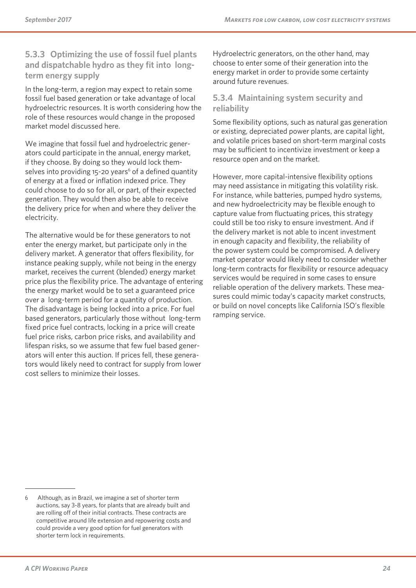#### **5.3.3 Optimizing the use of fossil fuel plants and dispatchable hydro as they fit into longterm energy supply**

In the long-term, a region may expect to retain some fossil fuel based generation or take advantage of local hydroelectric resources. It is worth considering how the role of these resources would change in the proposed market model discussed here.

We imagine that fossil fuel and hydroelectric generators could participate in the annual, energy market, if they choose. By doing so they would lock themselves into providing 15-20 years<sup>6</sup> of a defined quantity of energy at a fixed or inflation indexed price. They could choose to do so for all, or part, of their expected generation. They would then also be able to receive the delivery price for when and where they deliver the electricity.

The alternative would be for these generators to not enter the energy market, but participate only in the delivery market. A generator that offers flexibility, for instance peaking supply, while not being in the energy market, receives the current (blended) energy market price plus the flexibility price. The advantage of entering the energy market would be to set a guaranteed price over a long-term period for a quantity of production. The disadvantage is being locked into a price. For fuel based generators, particularly those without long-term fixed price fuel contracts, locking in a price will create fuel price risks, carbon price risks, and availability and lifespan risks, so we assume that few fuel based generators will enter this auction. If prices fell, these generators would likely need to contract for supply from lower cost sellers to minimize their losses.

Hydroelectric generators, on the other hand, may choose to enter some of their generation into the energy market in order to provide some certainty around future revenues.

#### **5.3.4 Maintaining system security and reliability**

Some flexibility options, such as natural gas generation or existing, depreciated power plants, are capital light, and volatile prices based on short-term marginal costs may be sufficient to incentivize investment or keep a resource open and on the market.

However, more capital-intensive flexibility options may need assistance in mitigating this volatility risk. For instance, while batteries, pumped hydro systems, and new hydroelectricity may be flexible enough to capture value from fluctuating prices, this strategy could still be too risky to ensure investment. And if the delivery market is not able to incent investment in enough capacity and flexibility, the reliability of the power system could be compromised. A delivery market operator would likely need to consider whether long-term contracts for flexibility or resource adequacy services would be required in some cases to ensure reliable operation of the delivery markets. These measures could mimic today's capacity market constructs, or build on novel concepts like California ISO's flexible ramping service.

<sup>6</sup> Although, as in Brazil, we imagine a set of shorter term auctions, say 3-8 years, for plants that are already built and are rolling off of their initial contracts. These contracts are competitive around life extension and repowering costs and could provide a very good option for fuel generators with shorter term lock in requirements.